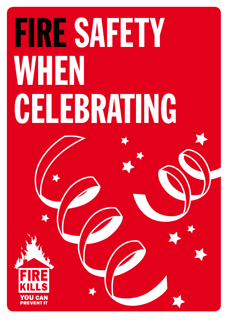# FIRE SAFETY WHEN CELEBRATING

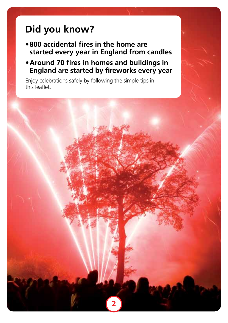### **Did you know?**

- **• 800 accidental fires in the home are started every year in England from candles**
- **• Around 70 fires in homes and buildings in England are started by fireworks every year**

**2**

Enjoy celebrations safely by following the simple tips in this leaflet.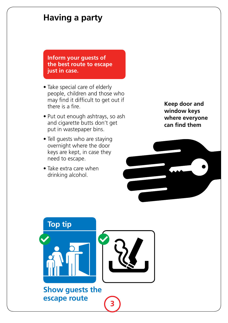#### **Having a party**

**Inform your guests of the best route to escape just in case.**

- Take special care of elderly people, children and those who may find it difficult to get out if there is a fire.
- Put out enough ashtrays, so ash and cigarette butts don't get put in wastepaper bins.
- Tell guests who are staying overnight where the door keys are kept, in case they need to escape.
- Take extra care when drinking alcohol.

**Keep door and window keys where everyone can find them**

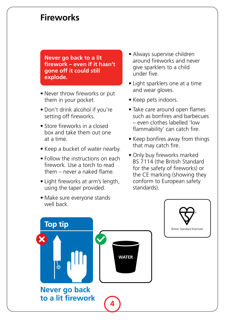#### **Fireworks**

**Never go back to a lit firework – even if it hasn't gone off it could still explode.**

- Never throw fireworks or put them in your pocket.
- Don't drink alcohol if you're setting off fireworks.
- Store fireworks in a closed box and take them out one at a time.
- Keep a bucket of water nearby.
- Follow the instructions on each firework. Use a torch to read them – never a naked flame.
- Light fireworks at arm's length, using the taper provided.
- Always supervise children around fireworks and never give sparklers to a child under five.
- Light sparklers one at a time and wear gloves.
- Keep pets indoors.
- Take care around open flames such as bonfires and barbecues – even clothes labelled 'low flammability' can catch fire.
- Keep bonfires away from things that may catch fire.
- Only buy fireworks marked BS 7114 (the British Standard for the safety of fireworks) or the CE marking (showing they conform to European safety standards).

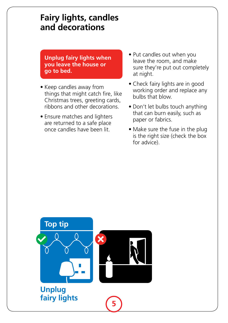#### **Fairy lights, candles and decorations**

 **Unplug fairy lights when you leave the house or go to bed.**

- Keep candles away from things that might catch fire, like Christmas trees, greeting cards, ribbons and other decorations.
- Ensure matches and lighters are returned to a safe place once candles have been lit.
- Put candles out when you leave the room, and make sure they're put out completely at night.
- Check fairy lights are in good working order and replace any bulbs that blow.
- Don't let bulbs touch anything that can burn easily, such as paper or fabrics.
- Make sure the fuse in the plug is the right size (check the box for advice).